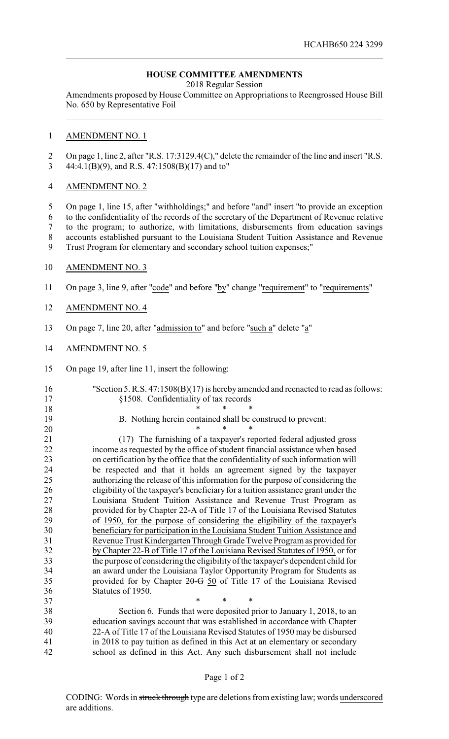# **HOUSE COMMITTEE AMENDMENTS**

2018 Regular Session

Amendments proposed by House Committee on Appropriations to Reengrossed House Bill No. 650 by Representative Foil

### AMENDMENT NO. 1

 On page 1, line 2, after "R.S. 17:3129.4(C)," delete the remainder of the line and insert "R.S. 44:4.1(B)(9), and R.S. 47:1508(B)(17) and to"

## AMENDMENT NO. 2

 On page 1, line 15, after "withholdings;" and before "and" insert "to provide an exception to the confidentiality of the records of the secretary of the Department of Revenue relative to the program; to authorize, with limitations, disbursements from education savings accounts established pursuant to the Louisiana Student Tuition Assistance and Revenue Trust Program for elementary and secondary school tuition expenses;"

- AMENDMENT NO. 3
- On page 3, line 9, after "code" and before "by" change "requirement" to "requirements"
- AMENDMENT NO. 4
- On page 7, line 20, after "admission to" and before "such a" delete "a"
- AMENDMENT NO. 5
- On page 19, after line 11, insert the following:

## "Section 5. R.S. 47:1508(B)(17) is hereby amended and reenacted to read as follows: §1508. Confidentiality of tax records \* \* \*

B. Nothing herein contained shall be construed to prevent:

 \* \* \* 21 (17) The furnishing of a taxpayer's reported federal adjusted gross<br>22 income as requested by the office of student financial assistance when based income as requested by the office of student financial assistance when based on certification by the office that the confidentiality of such information will be respected and that it holds an agreement signed by the taxpayer authorizing the release of this information for the purpose of considering the eligibility of the taxpayer's beneficiary for a tuition assistance grant under the Louisiana Student Tuition Assistance and Revenue Trust Program as provided for by Chapter 22-A of Title 17 of the Louisiana Revised Statutes of 1950, for the purpose of considering the eligibility of the taxpayer's beneficiary for participation in the Louisiana Student Tuition Assistance and Revenue Trust Kindergarten Through Grade Twelve Program as provided for by Chapter 22-B of Title 17 of the Louisiana Revised Statutes of 1950, or for the purpose of considering the eligibility of the taxpayer's dependent child for an award under the Louisiana Taylor Opportunity Program for Students as 35 provided for by Chapter 20–G 50 of Title 17 of the Louisiana Revised Statutes of 1950.

37 \* \* \* \* Section 6. Funds that were deposited prior to January 1, 2018, to an education savings account that was established in accordance with Chapter 22-A of Title 17 of the Louisiana Revised Statutes of 1950 may be disbursed in 2018 to pay tuition as defined in this Act at an elementary or secondary school as defined in this Act. Any such disbursement shall not include

#### Page 1 of 2

CODING: Words in struck through type are deletions from existing law; words underscored are additions.